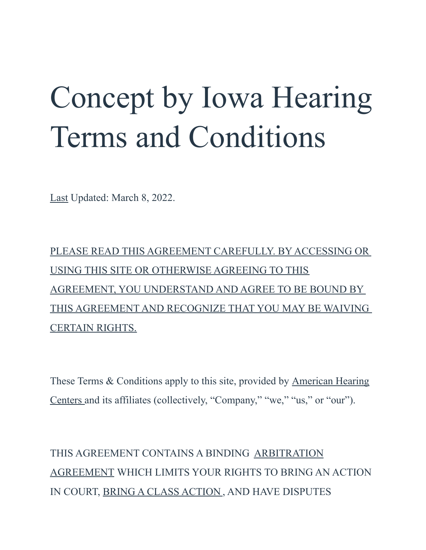# Concept by Iowa Hearing Terms and Conditions

Last Updated: March 8, 2022.

PLEASE READ THIS AGREEMENT CAREFULLY. BY ACCESSING OR USING THIS SITE OR OTHERWISE AGREEING TO THIS AGREEMENT, YOU UNDERSTAND AND AGREE TO BE BOUND BY THIS AGREEMENT AND RECOGNIZE THAT YOU MAY BE WAIVING CERTAIN RIGHTS.

These Terms & Conditions apply to this site, provided by American Hearing Centers and its affiliates (collectively, "Company," "we," "us," or "our").

THIS AGREEMENT CONTAINS A BINDING ARBITRATION AGREEMENT WHICH LIMITS YOUR RIGHTS TO BRING AN ACTION IN COURT, BRING A CLASS ACTION , AND HAVE DISPUTES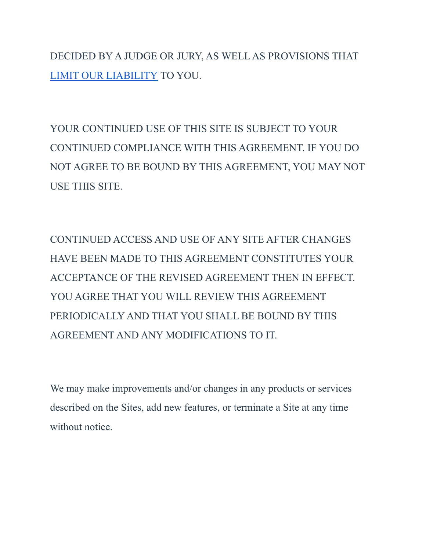DECIDED BY A JUDGE OR JURY, AS WELL AS PROVISIONS THAT [LIMIT OUR LIABILITY](https://iowahearing.alpacaaudiology.com/american-hearing-centers-terms-and-conditions/#liability) TO YOU.

YOUR CONTINUED USE OF THIS SITE IS SUBJECT TO YOUR CONTINUED COMPLIANCE WITH THIS AGREEMENT. IF YOU DO NOT AGREE TO BE BOUND BY THIS AGREEMENT, YOU MAY NOT USE THIS SITE.

CONTINUED ACCESS AND USE OF ANY SITE AFTER CHANGES HAVE BEEN MADE TO THIS AGREEMENT CONSTITUTES YOUR ACCEPTANCE OF THE REVISED AGREEMENT THEN IN EFFECT. YOU AGREE THAT YOU WILL REVIEW THIS AGREEMENT PERIODICALLY AND THAT YOU SHALL BE BOUND BY THIS AGREEMENT AND ANY MODIFICATIONS TO IT.

We may make improvements and/or changes in any products or services described on the Sites, add new features, or terminate a Site at any time without notice.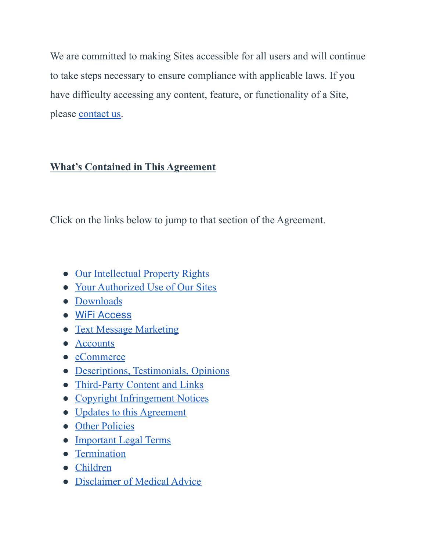We are committed to making Sites accessible for all users and will continue to take steps necessary to ensure compliance with applicable laws. If you have difficulty accessing any content, feature, or functionality of a Site, please [contact us.](https://iowahearing.alpacaaudiology.com/contact)

#### **What's Contained in This Agreement**

Click on the links below to jump to that section of the Agreement.

- [Our Intellectual Property Rights](https://iowahearing.alpacaaudiology.com/american-hearing-centers-terms-and-conditions/#intellectual)
- [Your Authorized Use of Our Sites](https://iowahearing.alpacaaudiology.com/american-hearing-centers-terms-and-conditions/#authorized)
- [Downloads](https://iowahearing.alpacaaudiology.com/american-hearing-centers-terms-and-conditions/#downloads)
- [WiFi Access](https://iowahearing.alpacaaudiology.com/american-hearing-centers-terms-and-conditions/#wifi)
- [Text Message Marketing](https://iowahearing.alpacaaudiology.com/american-hearing-centers-terms-and-conditions/#text)
- [Accounts](https://iowahearing.alpacaaudiology.com/american-hearing-centers-terms-and-conditions/#account)
- [eCommerce](https://iowahearing.alpacaaudiology.com/american-hearing-centers-terms-and-conditions/#eCommerce)
- [Descriptions, Testimonials, Opinions](https://iowahearing.alpacaaudiology.com/american-hearing-centers-terms-and-conditions/#description)
- [Third-Party Content and Links](https://iowahearing.alpacaaudiology.com/american-hearing-centers-terms-and-conditions/#thirdparty)
- [Copyright Infringement Notices](https://iowahearing.alpacaaudiology.com/american-hearing-centers-terms-and-conditions/#copyright)
- [Updates to this Agreement](https://iowahearing.alpacaaudiology.com/american-hearing-centers-terms-and-conditions/#agreement)
- [Other Policies](https://iowahearing.alpacaaudiology.com/american-hearing-centers-terms-and-conditions/#policies)
- [Important Legal Terms](https://iowahearing.alpacaaudiology.com/american-hearing-centers-terms-and-conditions/#legal)
- [Termination](https://iowahearing.alpacaaudiology.com/american-hearing-centers-terms-and-conditions/#termination)
- [Children](https://iowahearing.alpacaaudiology.com/american-hearing-centers-terms-and-conditions/#children)
- [Disclaimer of Medical Advice](https://iowahearing.alpacaaudiology.com/american-hearing-centers-terms-and-conditions/#medical)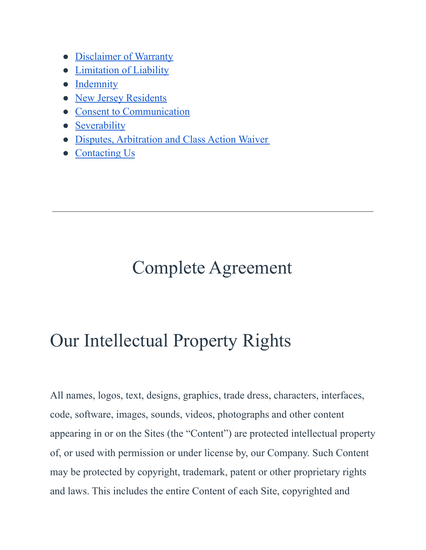- [Disclaimer of Warranty](https://iowahearing.alpacaaudiology.com/american-hearing-centers-terms-and-conditions/#warranty)
- [Limitation of Liability](https://iowahearing.alpacaaudiology.com/american-hearing-centers-terms-and-conditions/#liability)
- [Indemnity](https://iowahearing.alpacaaudiology.com/american-hearing-centers-terms-and-conditions/#indemnity)
- [New Jersey Residents](https://iowahearing.alpacaaudiology.com/american-hearing-centers-terms-and-conditions/#residents)
- [Consent to Communication](https://iowahearing.alpacaaudiology.com/american-hearing-centers-terms-and-conditions/#communication)
- [Severability](https://iowahearing.alpacaaudiology.com/american-hearing-centers-terms-and-conditions/#severability)
- [Disputes, Arbitration and Class Action Waiver](https://iowahearing.alpacaaudiology.com/american-hearing-centers-terms-and-conditions/#dispute)
- [Contacting Us](https://iowahearing.alpacaaudiology.com/american-hearing-centers-terms-and-conditions/#contact)

# Complete Agreement

# Our Intellectual Property Rights

All names, logos, text, designs, graphics, trade dress, characters, interfaces, code, software, images, sounds, videos, photographs and other content appearing in or on the Sites (the "Content") are protected intellectual property of, or used with permission or under license by, our Company. Such Content may be protected by copyright, trademark, patent or other proprietary rights and laws. This includes the entire Content of each Site, copyrighted and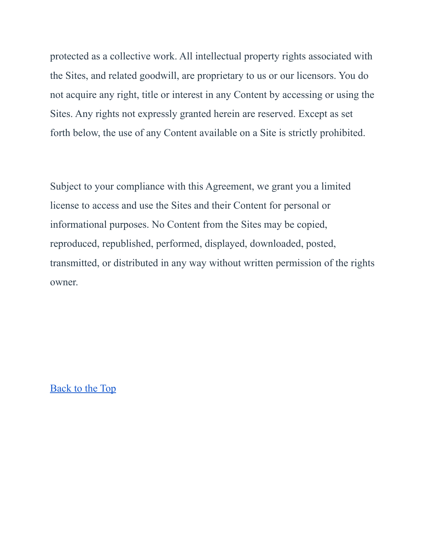protected as a collective work. All intellectual property rights associated with the Sites, and related goodwill, are proprietary to us or our licensors. You do not acquire any right, title or interest in any Content by accessing or using the Sites. Any rights not expressly granted herein are reserved. Except as set forth below, the use of any Content available on a Site is strictly prohibited.

Subject to your compliance with this Agreement, we grant you a limited license to access and use the Sites and their Content for personal or informational purposes. No Content from the Sites may be copied, reproduced, republished, performed, displayed, downloaded, posted, transmitted, or distributed in any way without written permission of the rights owner.

[Back to the Top](https://iowahearing.alpacaaudiology.com/american-hearing-centers-terms-and-conditions/#top)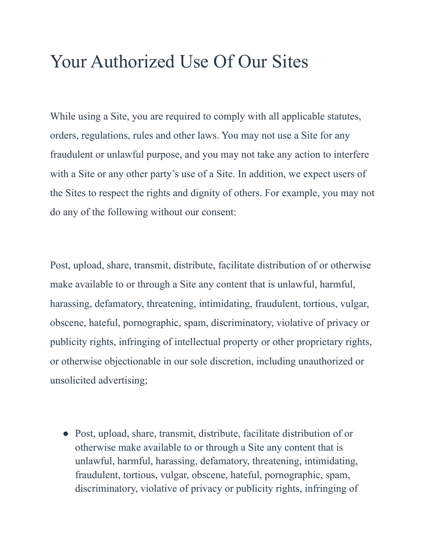# Your Authorized Use Of Our Sites

While using a Site, you are required to comply with all applicable statutes, orders, regulations, rules and other laws. You may not use a Site for any fraudulent or unlawful purpose, and you may not take any action to interfere with a Site or any other party's use of a Site. In addition, we expect users of the Sites to respect the rights and dignity of others. For example, you may not do any of the following without our consent:

Post, upload, share, transmit, distribute, facilitate distribution of or otherwise make available to or through a Site any content that is unlawful, harmful, harassing, defamatory, threatening, intimidating, fraudulent, tortious, vulgar, obscene, hateful, pornographic, spam, discriminatory, violative of privacy or publicity rights, infringing of intellectual property or other proprietary rights, or otherwise objectionable in our sole discretion, including unauthorized or unsolicited advertising;

● Post, upload, share, transmit, distribute, facilitate distribution of or otherwise make available to or through a Site any content that is unlawful, harmful, harassing, defamatory, threatening, intimidating, fraudulent, tortious, vulgar, obscene, hateful, pornographic, spam, discriminatory, violative of privacy or publicity rights, infringing of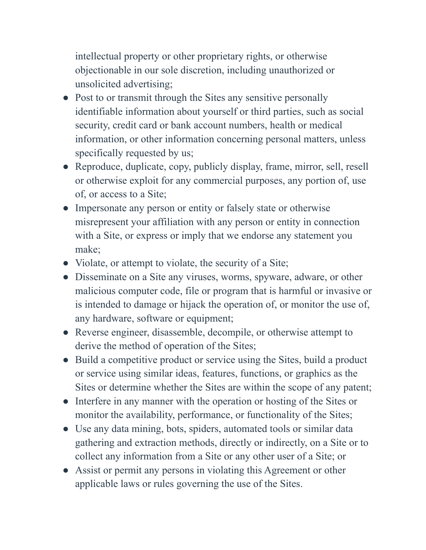intellectual property or other proprietary rights, or otherwise objectionable in our sole discretion, including unauthorized or unsolicited advertising;

- Post to or transmit through the Sites any sensitive personally identifiable information about yourself or third parties, such as social security, credit card or bank account numbers, health or medical information, or other information concerning personal matters, unless specifically requested by us;
- Reproduce, duplicate, copy, publicly display, frame, mirror, sell, resell or otherwise exploit for any commercial purposes, any portion of, use of, or access to a Site;
- Impersonate any person or entity or falsely state or otherwise misrepresent your affiliation with any person or entity in connection with a Site, or express or imply that we endorse any statement you make;
- Violate, or attempt to violate, the security of a Site;
- Disseminate on a Site any viruses, worms, spyware, adware, or other malicious computer code, file or program that is harmful or invasive or is intended to damage or hijack the operation of, or monitor the use of, any hardware, software or equipment;
- Reverse engineer, disassemble, decompile, or otherwise attempt to derive the method of operation of the Sites;
- Build a competitive product or service using the Sites, build a product or service using similar ideas, features, functions, or graphics as the Sites or determine whether the Sites are within the scope of any patent;
- Interfere in any manner with the operation or hosting of the Sites or monitor the availability, performance, or functionality of the Sites;
- Use any data mining, bots, spiders, automated tools or similar data gathering and extraction methods, directly or indirectly, on a Site or to collect any information from a Site or any other user of a Site; or
- Assist or permit any persons in violating this Agreement or other applicable laws or rules governing the use of the Sites.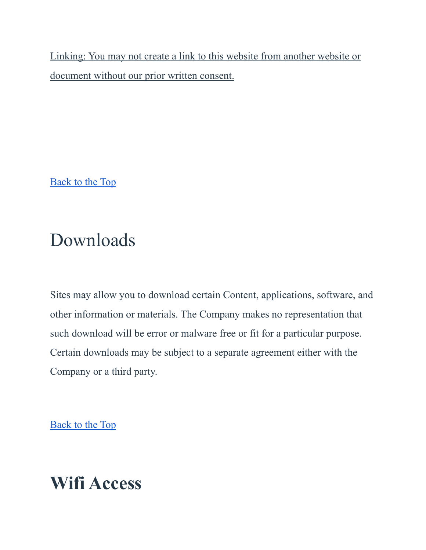Linking: You may not create a link to this website from another website or document without our prior written consent.

[Back to the Top](https://iowahearing.alpacaaudiology.com/american-hearing-centers-terms-and-conditions/#top)

# Downloads

Sites may allow you to download certain Content, applications, software, and other information or materials. The Company makes no representation that such download will be error or malware free or fit for a particular purpose. Certain downloads may be subject to a separate agreement either with the Company or a third party.

[Back to the Top](https://iowahearing.alpacaaudiology.com/american-hearing-centers-terms-and-conditions/#top)

# **Wifi Access**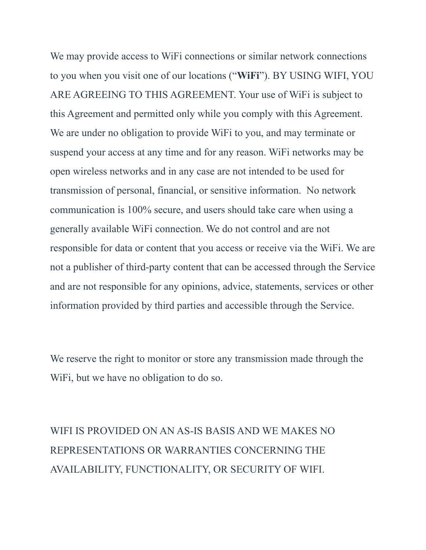We may provide access to WiFi connections or similar network connections to you when you visit one of our locations ("**WiFi**"). BY USING WIFI, YOU ARE AGREEING TO THIS AGREEMENT. Your use of WiFi is subject to this Agreement and permitted only while you comply with this Agreement. We are under no obligation to provide WiFi to you, and may terminate or suspend your access at any time and for any reason. WiFi networks may be open wireless networks and in any case are not intended to be used for transmission of personal, financial, or sensitive information. No network communication is 100% secure, and users should take care when using a generally available WiFi connection. We do not control and are not responsible for data or content that you access or receive via the WiFi. We are not a publisher of third-party content that can be accessed through the Service and are not responsible for any opinions, advice, statements, services or other information provided by third parties and accessible through the Service.

We reserve the right to monitor or store any transmission made through the WiFi, but we have no obligation to do so.

WIFI IS PROVIDED ON AN AS-IS BASIS AND WE MAKES NO REPRESENTATIONS OR WARRANTIES CONCERNING THE AVAILABILITY, FUNCTIONALITY, OR SECURITY OF WIFI.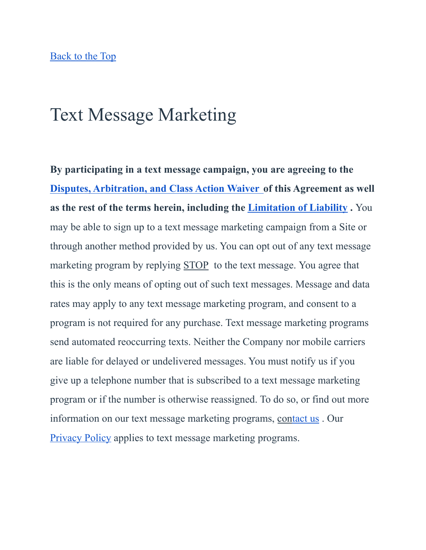### Text Message Marketing

**By participating in a text message campaign, you are agreeing to the [Disputes, Arbitration, and Class Action Waiver](https://iowahearing.alpacaaudiology.com/american-hearing-centers-terms-and-conditions/#dispute) of this Agreement as well as the rest of the terms herein, including the Limitation [of Liability](https://iowahearing.alpacaaudiology.com/american-hearing-centers-terms-and-conditions/#liability) .** You may be able to sign up to a text message marketing campaign from a Site or through another method provided by us. You can opt out of any text message marketing program by replying STOP to the text message. You agree that this is the only means of opting out of such text messages. Message and data rates may apply to any text message marketing program, and consent to a program is not required for any purchase. Text message marketing programs send automated reoccurring texts. Neither the Company nor mobile carriers are liable for delayed or undelivered messages. You must notify us if you give up a telephone number that is subscribed to a text message marketing program or if the number is otherwise reassigned. To do so, or find out more information on our text message marketing programs, co[ntact us](https://iowahearing.alpacaaudiology.com/contact) . Our [Privacy Policy](https://iowahearing.alpacaaudiology.com/privacy) applies to text message marketing programs.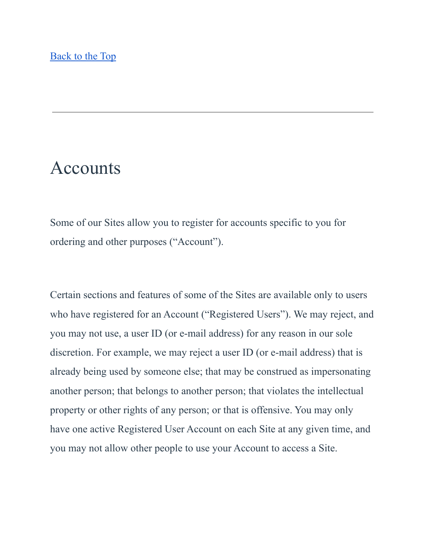### Accounts

Some of our Sites allow you to register for accounts specific to you for ordering and other purposes ("Account").

Certain sections and features of some of the Sites are available only to users who have registered for an Account ("Registered Users"). We may reject, and you may not use, a user ID (or e-mail address) for any reason in our sole discretion. For example, we may reject a user ID (or e-mail address) that is already being used by someone else; that may be construed as impersonating another person; that belongs to another person; that violates the intellectual property or other rights of any person; or that is offensive. You may only have one active Registered User Account on each Site at any given time, and you may not allow other people to use your Account to access a Site.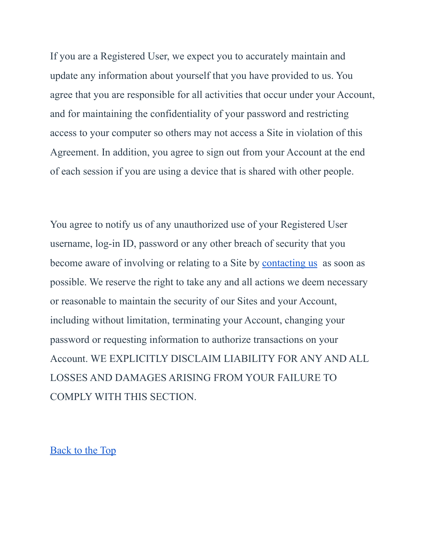If you are a Registered User, we expect you to accurately maintain and update any information about yourself that you have provided to us. You agree that you are responsible for all activities that occur under your Account, and for maintaining the confidentiality of your password and restricting access to your computer so others may not access a Site in violation of this Agreement. In addition, you agree to sign out from your Account at the end of each session if you are using a device that is shared with other people.

You agree to notify us of any unauthorized use of your Registered User username, log-in ID, password or any other breach of security that you become aware of involving or relating to a Site by [contacting us](https://iowahearing.alpacaaudiology.com/american-hearing-centers-terms-and-conditions/#contact) as soon as possible. We reserve the right to take any and all actions we deem necessary or reasonable to maintain the security of our Sites and your Account, including without limitation, terminating your Account, changing your password or requesting information to authorize transactions on your Account. WE EXPLICITLY DISCLAIM LIABILITY FOR ANY AND ALL LOSSES AND DAMAGES ARISING FROM YOUR FAILURE TO COMPLY WITH THIS SECTION.

[Back to the Top](https://iowahearing.alpacaaudiology.com/american-hearing-centers-terms-and-conditions/#top)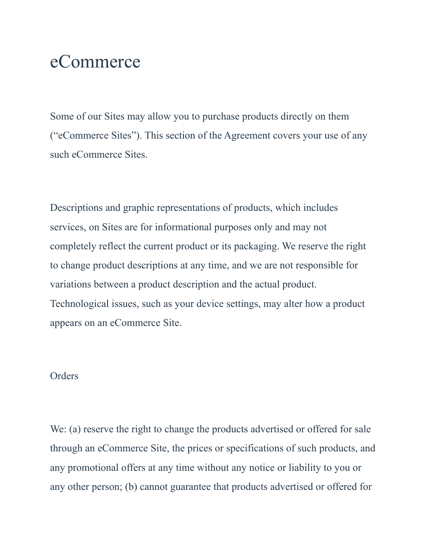### eCommerce

Some of our Sites may allow you to purchase products directly on them ("eCommerce Sites"). This section of the Agreement covers your use of any such eCommerce Sites.

Descriptions and graphic representations of products, which includes services, on Sites are for informational purposes only and may not completely reflect the current product or its packaging. We reserve the right to change product descriptions at any time, and we are not responsible for variations between a product description and the actual product. Technological issues, such as your device settings, may alter how a product appears on an eCommerce Site.

#### **Orders**

We: (a) reserve the right to change the products advertised or offered for sale through an eCommerce Site, the prices or specifications of such products, and any promotional offers at any time without any notice or liability to you or any other person; (b) cannot guarantee that products advertised or offered for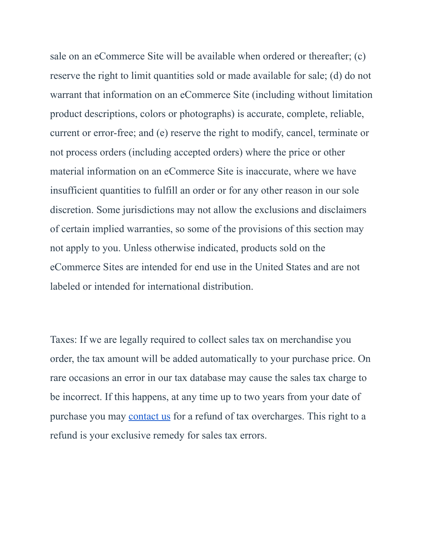sale on an eCommerce Site will be available when ordered or thereafter; (c) reserve the right to limit quantities sold or made available for sale; (d) do not warrant that information on an eCommerce Site (including without limitation product descriptions, colors or photographs) is accurate, complete, reliable, current or error-free; and (e) reserve the right to modify, cancel, terminate or not process orders (including accepted orders) where the price or other material information on an eCommerce Site is inaccurate, where we have insufficient quantities to fulfill an order or for any other reason in our sole discretion. Some jurisdictions may not allow the exclusions and disclaimers of certain implied warranties, so some of the provisions of this section may not apply to you. Unless otherwise indicated, products sold on the eCommerce Sites are intended for end use in the United States and are not labeled or intended for international distribution.

Taxes: If we are legally required to collect sales tax on merchandise you order, the tax amount will be added automatically to your purchase price. On rare occasions an error in our tax database may cause the sales tax charge to be incorrect. If this happens, at any time up to two years from your date of purchase you may [contact us](https://iowahearing.alpacaaudiology.com/contact) for a refund of tax overcharges. This right to a refund is your exclusive remedy for sales tax errors.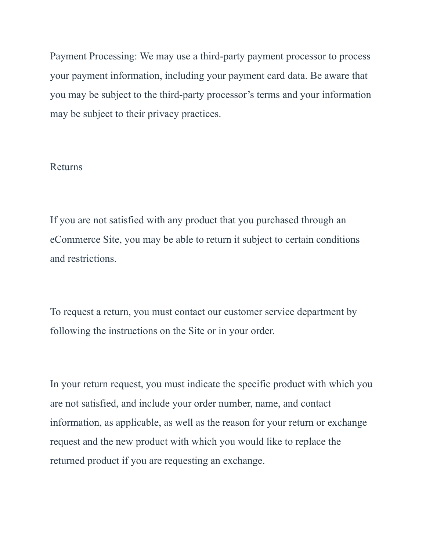Payment Processing: We may use a third-party payment processor to process your payment information, including your payment card data. Be aware that you may be subject to the third-party processor's terms and your information may be subject to their privacy practices.

#### Returns

If you are not satisfied with any product that you purchased through an eCommerce Site, you may be able to return it subject to certain conditions and restrictions.

To request a return, you must contact our customer service department by following the instructions on the Site or in your order.

In your return request, you must indicate the specific product with which you are not satisfied, and include your order number, name, and contact information, as applicable, as well as the reason for your return or exchange request and the new product with which you would like to replace the returned product if you are requesting an exchange.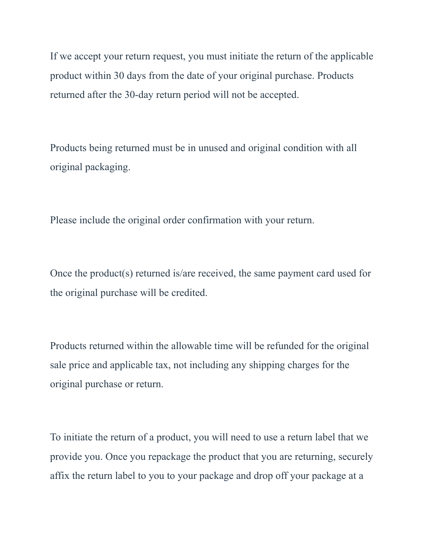If we accept your return request, you must initiate the return of the applicable product within 30 days from the date of your original purchase. Products returned after the 30-day return period will not be accepted.

Products being returned must be in unused and original condition with all original packaging.

Please include the original order confirmation with your return.

Once the product(s) returned is/are received, the same payment card used for the original purchase will be credited.

Products returned within the allowable time will be refunded for the original sale price and applicable tax, not including any shipping charges for the original purchase or return.

To initiate the return of a product, you will need to use a return label that we provide you. Once you repackage the product that you are returning, securely affix the return label to you to your package and drop off your package at a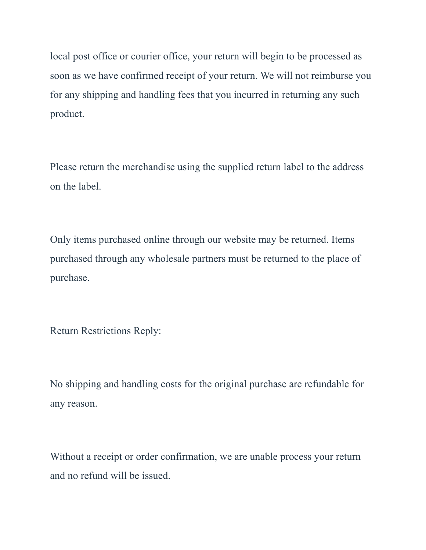local post office or courier office, your return will begin to be processed as soon as we have confirmed receipt of your return. We will not reimburse you for any shipping and handling fees that you incurred in returning any such product.

Please return the merchandise using the supplied return label to the address on the label.

Only items purchased online through our website may be returned. Items purchased through any wholesale partners must be returned to the place of purchase.

Return Restrictions Reply:

No shipping and handling costs for the original purchase are refundable for any reason.

Without a receipt or order confirmation, we are unable process your return and no refund will be issued.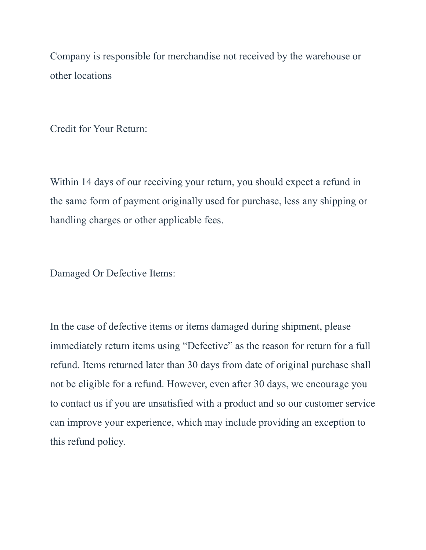Company is responsible for merchandise not received by the warehouse or other locations

Credit for Your Return:

Within 14 days of our receiving your return, you should expect a refund in the same form of payment originally used for purchase, less any shipping or handling charges or other applicable fees.

Damaged Or Defective Items:

In the case of defective items or items damaged during shipment, please immediately return items using "Defective" as the reason for return for a full refund. Items returned later than 30 days from date of original purchase shall not be eligible for a refund. However, even after 30 days, we encourage you to contact us if you are unsatisfied with a product and so our customer service can improve your experience, which may include providing an exception to this refund policy.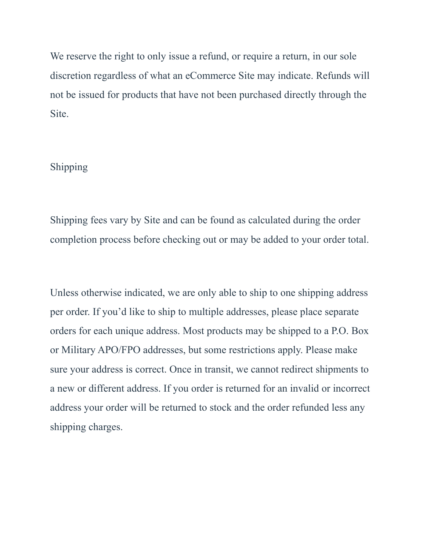We reserve the right to only issue a refund, or require a return, in our sole discretion regardless of what an eCommerce Site may indicate. Refunds will not be issued for products that have not been purchased directly through the Site.

#### Shipping

Shipping fees vary by Site and can be found as calculated during the order completion process before checking out or may be added to your order total.

Unless otherwise indicated, we are only able to ship to one shipping address per order. If you'd like to ship to multiple addresses, please place separate orders for each unique address. Most products may be shipped to a P.O. Box or Military APO/FPO addresses, but some restrictions apply. Please make sure your address is correct. Once in transit, we cannot redirect shipments to a new or different address. If you order is returned for an invalid or incorrect address your order will be returned to stock and the order refunded less any shipping charges.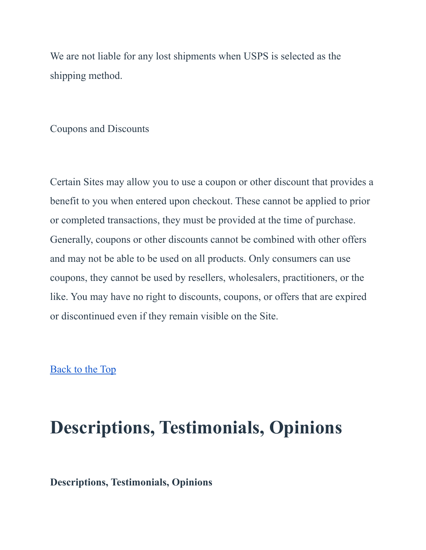We are not liable for any lost shipments when USPS is selected as the shipping method.

Coupons and Discounts

Certain Sites may allow you to use a coupon or other discount that provides a benefit to you when entered upon checkout. These cannot be applied to prior or completed transactions, they must be provided at the time of purchase. Generally, coupons or other discounts cannot be combined with other offers and may not be able to be used on all products. Only consumers can use coupons, they cannot be used by resellers, wholesalers, practitioners, or the like. You may have no right to discounts, coupons, or offers that are expired or discontinued even if they remain visible on the Site.

[Back to the Top](https://iowahearing.alpacaaudiology.com/american-hearing-centers-terms-and-conditions/#top)

## **Descriptions, Testimonials, Opinions**

#### **Descriptions, Testimonials, Opinions**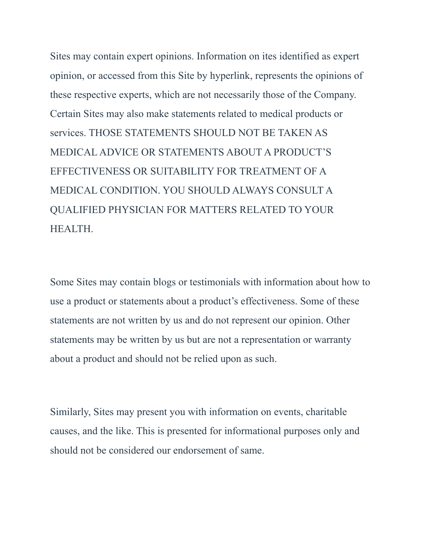Sites may contain expert opinions. Information on ites identified as expert opinion, or accessed from this Site by hyperlink, represents the opinions of these respective experts, which are not necessarily those of the Company. Certain Sites may also make statements related to medical products or services. THOSE STATEMENTS SHOULD NOT BE TAKEN AS MEDICAL ADVICE OR STATEMENTS ABOUT A PRODUCT'S EFFECTIVENESS OR SUITABILITY FOR TREATMENT OF A MEDICAL CONDITION. YOU SHOULD ALWAYS CONSULT A QUALIFIED PHYSICIAN FOR MATTERS RELATED TO YOUR HEALTH.

Some Sites may contain blogs or testimonials with information about how to use a product or statements about a product's effectiveness. Some of these statements are not written by us and do not represent our opinion. Other statements may be written by us but are not a representation or warranty about a product and should not be relied upon as such.

Similarly, Sites may present you with information on events, charitable causes, and the like. This is presented for informational purposes only and should not be considered our endorsement of same.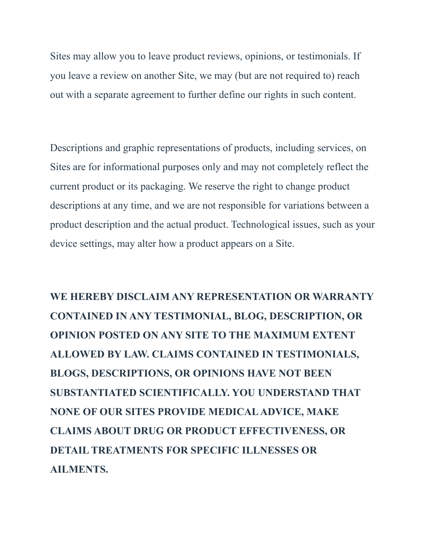Sites may allow you to leave product reviews, opinions, or testimonials. If you leave a review on another Site, we may (but are not required to) reach out with a separate agreement to further define our rights in such content.

Descriptions and graphic representations of products, including services, on Sites are for informational purposes only and may not completely reflect the current product or its packaging. We reserve the right to change product descriptions at any time, and we are not responsible for variations between a product description and the actual product. Technological issues, such as your device settings, may alter how a product appears on a Site.

**WE HEREBY DISCLAIM ANY REPRESENTATION OR WARRANTY CONTAINED IN ANY TESTIMONIAL, BLOG, DESCRIPTION, OR OPINION POSTED ON ANY SITE TO THE MAXIMUM EXTENT ALLOWED BY LAW. CLAIMS CONTAINED IN TESTIMONIALS, BLOGS, DESCRIPTIONS, OR OPINIONS HAVE NOT BEEN SUBSTANTIATED SCIENTIFICALLY. YOU UNDERSTAND THAT NONE OF OUR SITES PROVIDE MEDICAL ADVICE, MAKE CLAIMS ABOUT DRUG OR PRODUCT EFFECTIVENESS, OR DETAIL TREATMENTS FOR SPECIFIC ILLNESSES OR AILMENTS.**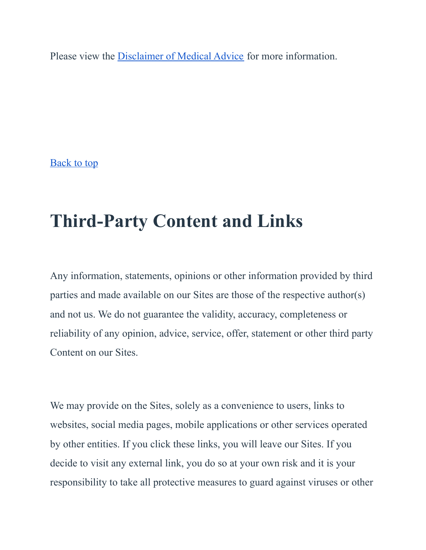Please view the [Disclaimer of Medical Advice](https://iowahearing.alpacaaudiology.com/american-hearing-centers-terms-and-conditions/#medical) for more information.

[Back to top](https://iowahearing.alpacaaudiology.com/american-hearing-centers-terms-and-conditions/#top)

# **Third-Party Content and Links**

Any information, statements, opinions or other information provided by third parties and made available on our Sites are those of the respective author(s) and not us. We do not guarantee the validity, accuracy, completeness or reliability of any opinion, advice, service, offer, statement or other third party Content on our Sites.

We may provide on the Sites, solely as a convenience to users, links to websites, social media pages, mobile applications or other services operated by other entities. If you click these links, you will leave our Sites. If you decide to visit any external link, you do so at your own risk and it is your responsibility to take all protective measures to guard against viruses or other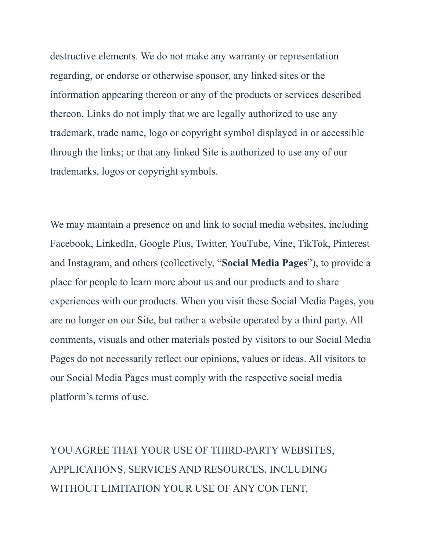destructive elements. We do not make any warranty or representation regarding, or endorse or otherwise sponsor, any linked sites or the information appearing thereon or any of the products or services described thereon. Links do not imply that we are legally authorized to use any trademark, trade name, logo or copyright symbol displayed in or accessible through the links; or that any linked Site is authorized to use any of our trademarks, logos or copyright symbols.

We may maintain a presence on and link to social media websites, including Facebook, LinkedIn, Google Plus, Twitter, YouTube, Vine, TikTok, Pinterest and Instagram, and others (collectively, "**Social Media Pages**"), to provide a place for people to learn more about us and our products and to share experiences with our products. When you visit these Social Media Pages, you are no longer on our Site, but rather a website operated by a third party. All comments, visuals and other materials posted by visitors to our Social Media Pages do not necessarily reflect our opinions, values or ideas. All visitors to our Social Media Pages must comply with the respective social media platform's terms of use.

YOU AGREE THAT YOUR USE OF THIRD-PARTY WEBSITES, APPLICATIONS, SERVICES AND RESOURCES, INCLUDING WITHOUT LIMITATION YOUR USE OF ANY CONTENT,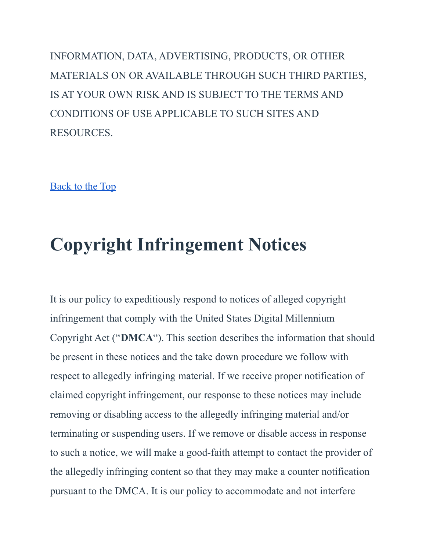INFORMATION, DATA, ADVERTISING, PRODUCTS, OR OTHER MATERIALS ON OR AVAILABLE THROUGH SUCH THIRD PARTIES, IS AT YOUR OWN RISK AND IS SUBJECT TO THE TERMS AND CONDITIONS OF USE APPLICABLE TO SUCH SITES AND RESOURCES.

[Back to the Top](https://iowahearing.alpacaaudiology.com/american-hearing-centers-terms-and-conditions/#top)

# **Copyright Infringement Notices**

It is our policy to expeditiously respond to notices of alleged copyright infringement that comply with the United States Digital Millennium Copyright Act ("**DMCA**"). This section describes the information that should be present in these notices and the take down procedure we follow with respect to allegedly infringing material. If we receive proper notification of claimed copyright infringement, our response to these notices may include removing or disabling access to the allegedly infringing material and/or terminating or suspending users. If we remove or disable access in response to such a notice, we will make a good-faith attempt to contact the provider of the allegedly infringing content so that they may make a counter notification pursuant to the DMCA. It is our policy to accommodate and not interfere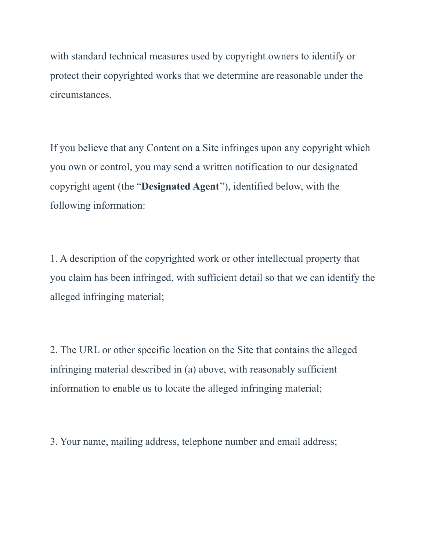with standard technical measures used by copyright owners to identify or protect their copyrighted works that we determine are reasonable under the circumstances.

If you believe that any Content on a Site infringes upon any copyright which you own or control, you may send a written notification to our designated copyright agent (the "**Designated Agent**"), identified below, with the following information:

1. A description of the copyrighted work or other intellectual property that you claim has been infringed, with sufficient detail so that we can identify the alleged infringing material;

2. The URL or other specific location on the Site that contains the alleged infringing material described in (a) above, with reasonably sufficient information to enable us to locate the alleged infringing material;

3. Your name, mailing address, telephone number and email address;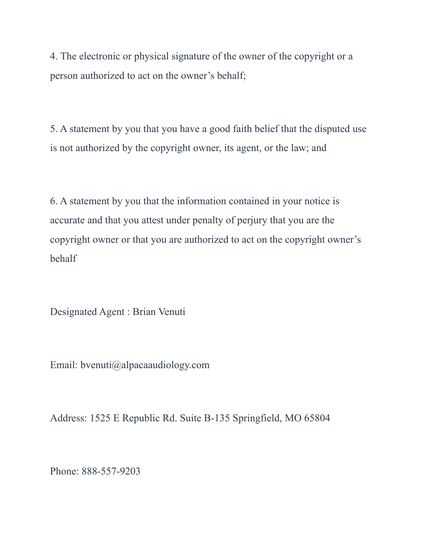4. The electronic or physical signature of the owner of the copyright or a person authorized to act on the owner's behalf;

5. A statement by you that you have a good faith belief that the disputed use is not authorized by the copyright owner, its agent, or the law; and

6. A statement by you that the information contained in your notice is accurate and that you attest under penalty of perjury that you are the copyright owner or that you are authorized to act on the copyright owner's behalf

Designated Agent : Brian Venuti

Email: bvenuti@alpacaaudiology.com

Address: 1525 E Republic Rd. Suite B-135 Springfield, MO 65804

Phone: 888-557-9203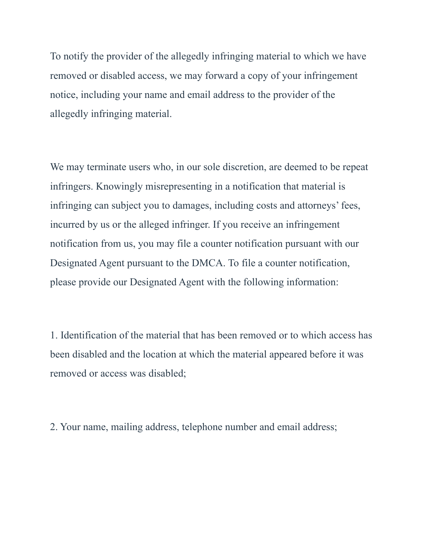To notify the provider of the allegedly infringing material to which we have removed or disabled access, we may forward a copy of your infringement notice, including your name and email address to the provider of the allegedly infringing material.

We may terminate users who, in our sole discretion, are deemed to be repeat infringers. Knowingly misrepresenting in a notification that material is infringing can subject you to damages, including costs and attorneys' fees, incurred by us or the alleged infringer. If you receive an infringement notification from us, you may file a counter notification pursuant with our Designated Agent pursuant to the DMCA. To file a counter notification, please provide our Designated Agent with the following information:

1. Identification of the material that has been removed or to which access has been disabled and the location at which the material appeared before it was removed or access was disabled;

2. Your name, mailing address, telephone number and email address;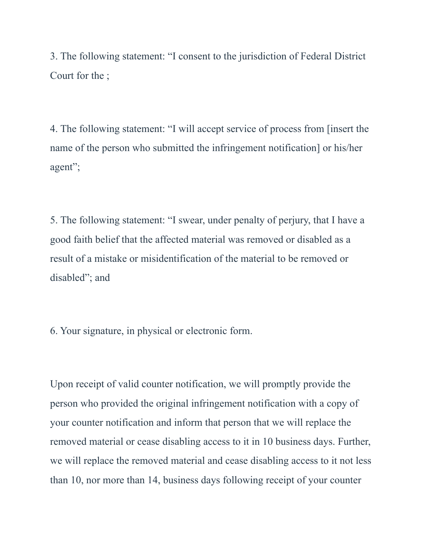3. The following statement: "I consent to the jurisdiction of Federal District Court for the ;

4. The following statement: "I will accept service of process from [insert the name of the person who submitted the infringement notification] or his/her agent";

5. The following statement: "I swear, under penalty of perjury, that I have a good faith belief that the affected material was removed or disabled as a result of a mistake or misidentification of the material to be removed or disabled"; and

6. Your signature, in physical or electronic form.

Upon receipt of valid counter notification, we will promptly provide the person who provided the original infringement notification with a copy of your counter notification and inform that person that we will replace the removed material or cease disabling access to it in 10 business days. Further, we will replace the removed material and cease disabling access to it not less than 10, nor more than 14, business days following receipt of your counter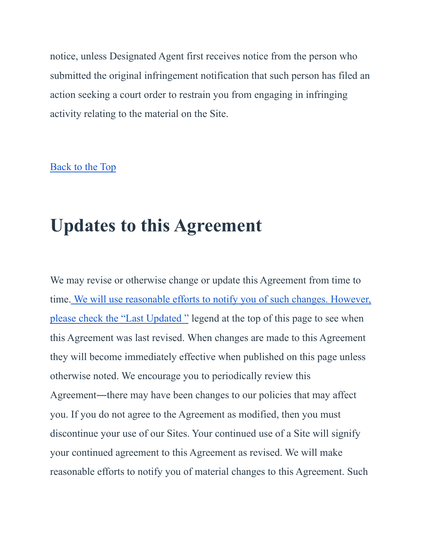notice, unless Designated Agent first receives notice from the person who submitted the original infringement notification that such person has filed an action seeking a court order to restrain you from engaging in infringing activity relating to the material on the Site.

#### [Back to the Top](https://iowahearing.alpacaaudiology.com/american-hearing-centers-terms-and-conditions/#top)

### **Updates to this Agreement**

We may revise or otherwise change or update this Agreement from time to time. [We will use reasonable efforts to notify you](https://iowahearing.alpacaaudiology.com/american-hearing-centers-terms-and-conditions/#date) of such changes. However, [please check the "Last Updated "](https://iowahearing.alpacaaudiology.com/american-hearing-centers-terms-and-conditions/#date) legend at the top of this page to see when this Agreement was last revised. When changes are made to this Agreement they will become immediately effective when published on this page unless otherwise noted. We encourage you to periodically review this Agreement—there may have been changes to our policies that may affect you. If you do not agree to the Agreement as modified, then you must discontinue your use of our Sites. Your continued use of a Site will signify your continued agreement to this Agreement as revised. We will make reasonable efforts to notify you of material changes to this Agreement. Such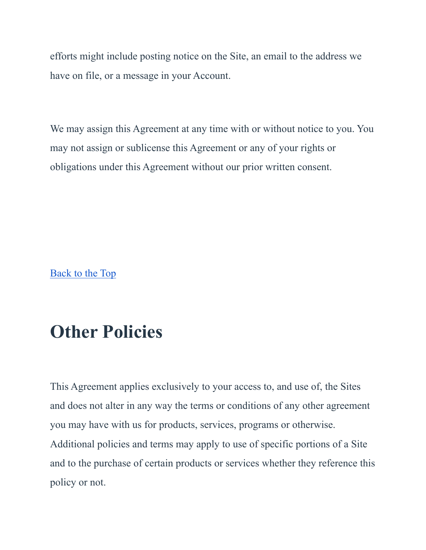efforts might include posting notice on the Site, an email to the address we have on file, or a message in your Account.

We may assign this Agreement at any time with or without notice to you. You may not assign or sublicense this Agreement or any of your rights or obligations under this Agreement without our prior written consent.

[Back to the Top](https://iowahearing.alpacaaudiology.com/american-hearing-centers-terms-and-conditions/#top)

### **Other Policies**

This Agreement applies exclusively to your access to, and use of, the Sites and does not alter in any way the terms or conditions of any other agreement you may have with us for products, services, programs or otherwise. Additional policies and terms may apply to use of specific portions of a Site and to the purchase of certain products or services whether they reference this policy or not.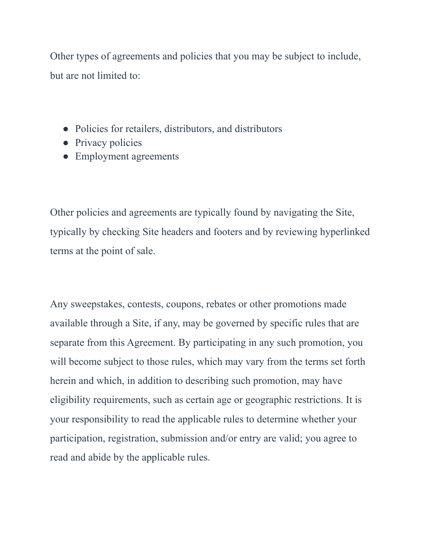Other types of agreements and policies that you may be subject to include, but are not limited to:

- Policies for retailers, distributors, and distributors
- Privacy policies
- Employment agreements

Other policies and agreements are typically found by navigating the Site, typically by checking Site headers and footers and by reviewing hyperlinked terms at the point of sale.

Any sweepstakes, contests, coupons, rebates or other promotions made available through a Site, if any, may be governed by specific rules that are separate from this Agreement. By participating in any such promotion, you will become subject to those rules, which may vary from the terms set forth herein and which, in addition to describing such promotion, may have eligibility requirements, such as certain age or geographic restrictions. It is your responsibility to read the applicable rules to determine whether your participation, registration, submission and/or entry are valid; you agree to read and abide by the applicable rules.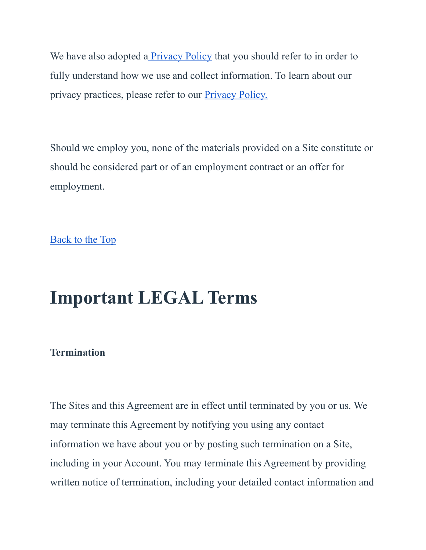We have also adopted a **[Privacy Policy](https://iowahearing.alpacaaudiology.com/privacy)** that you should refer to in order to fully understand how we use and collect information. To learn about our privacy practices, please refer to our [Privacy Policy.](https://iowahearing.alpacaaudiology.com/privacy)

Should we employ you, none of the materials provided on a Site constitute or should be considered part or of an employment contract or an offer for employment.

[Back to the Top](https://iowahearing.alpacaaudiology.com/american-hearing-centers-terms-and-conditions/#top)

## **Important LEGAL Terms**

#### **Termination**

The Sites and this Agreement are in effect until terminated by you or us. We may terminate this Agreement by notifying you using any contact information we have about you or by posting such termination on a Site, including in your Account. You may terminate this Agreement by providing written notice of termination, including your detailed contact information and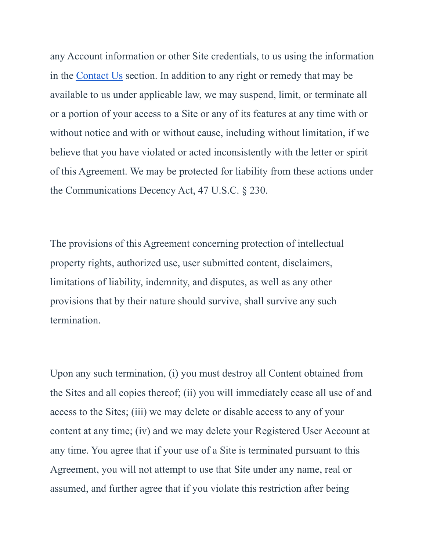any Account information or other Site credentials, to us using the information in the [Contact Us](https://iowahearing.alpacaaudiology.com/contact) section. In addition to any right or remedy that may be available to us under applicable law, we may suspend, limit, or terminate all or a portion of your access to a Site or any of its features at any time with or without notice and with or without cause, including without limitation, if we believe that you have violated or acted inconsistently with the letter or spirit of this Agreement. We may be protected for liability from these actions under the Communications Decency Act, 47 U.S.C. § 230.

The provisions of this Agreement concerning protection of intellectual property rights, authorized use, user submitted content, disclaimers, limitations of liability, indemnity, and disputes, as well as any other provisions that by their nature should survive, shall survive any such termination.

Upon any such termination, (i) you must destroy all Content obtained from the Sites and all copies thereof; (ii) you will immediately cease all use of and access to the Sites; (iii) we may delete or disable access to any of your content at any time; (iv) and we may delete your Registered User Account at any time. You agree that if your use of a Site is terminated pursuant to this Agreement, you will not attempt to use that Site under any name, real or assumed, and further agree that if you violate this restriction after being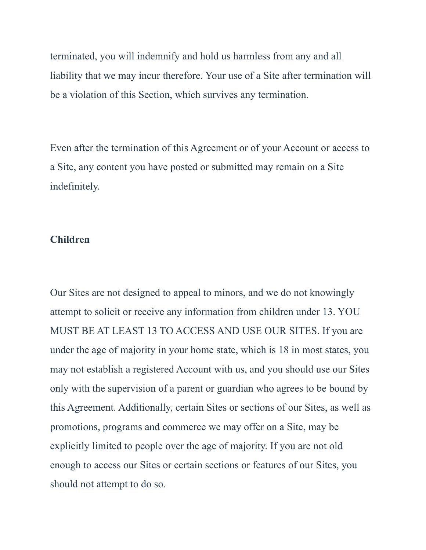terminated, you will indemnify and hold us harmless from any and all liability that we may incur therefore. Your use of a Site after termination will be a violation of this Section, which survives any termination.

Even after the termination of this Agreement or of your Account or access to a Site, any content you have posted or submitted may remain on a Site indefinitely.

#### **Children**

Our Sites are not designed to appeal to minors, and we do not knowingly attempt to solicit or receive any information from children under 13. YOU MUST BE AT LEAST 13 TO ACCESS AND USE OUR SITES. If you are under the age of majority in your home state, which is 18 in most states, you may not establish a registered Account with us, and you should use our Sites only with the supervision of a parent or guardian who agrees to be bound by this Agreement. Additionally, certain Sites or sections of our Sites, as well as promotions, programs and commerce we may offer on a Site, may be explicitly limited to people over the age of majority. If you are not old enough to access our Sites or certain sections or features of our Sites, you should not attempt to do so.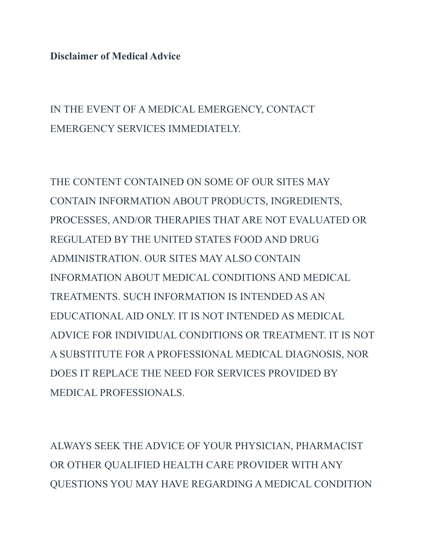**Disclaimer of Medical Advice**

IN THE EVENT OF A MEDICAL EMERGENCY, CONTACT EMERGENCY SERVICES IMMEDIATELY.

THE CONTENT CONTAINED ON SOME OF OUR SITES MAY CONTAIN INFORMATION ABOUT PRODUCTS, INGREDIENTS, PROCESSES, AND/OR THERAPIES THAT ARE NOT EVALUATED OR REGULATED BY THE UNITED STATES FOOD AND DRUG ADMINISTRATION. OUR SITES MAY ALSO CONTAIN INFORMATION ABOUT MEDICAL CONDITIONS AND MEDICAL TREATMENTS. SUCH INFORMATION IS INTENDED AS AN EDUCATIONAL AID ONLY. IT IS NOT INTENDED AS MEDICAL ADVICE FOR INDIVIDUAL CONDITIONS OR TREATMENT. IT IS NOT A SUBSTITUTE FOR A PROFESSIONAL MEDICAL DIAGNOSIS, NOR DOES IT REPLACE THE NEED FOR SERVICES PROVIDED BY MEDICAL PROFESSIONALS.

ALWAYS SEEK THE ADVICE OF YOUR PHYSICIAN, PHARMACIST OR OTHER QUALIFIED HEALTH CARE PROVIDER WITH ANY QUESTIONS YOU MAY HAVE REGARDING A MEDICAL CONDITION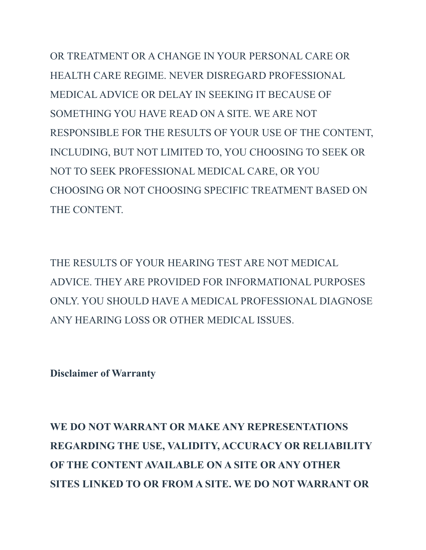OR TREATMENT OR A CHANGE IN YOUR PERSONAL CARE OR HEALTH CARE REGIME. NEVER DISREGARD PROFESSIONAL MEDICAL ADVICE OR DELAY IN SEEKING IT BECAUSE OF SOMETHING YOU HAVE READ ON A SITE. WE ARE NOT RESPONSIBLE FOR THE RESULTS OF YOUR USE OF THE CONTENT, INCLUDING, BUT NOT LIMITED TO, YOU CHOOSING TO SEEK OR NOT TO SEEK PROFESSIONAL MEDICAL CARE, OR YOU CHOOSING OR NOT CHOOSING SPECIFIC TREATMENT BASED ON THE CONTENT.

THE RESULTS OF YOUR HEARING TEST ARE NOT MEDICAL ADVICE. THEY ARE PROVIDED FOR INFORMATIONAL PURPOSES ONLY. YOU SHOULD HAVE A MEDICAL PROFESSIONAL DIAGNOSE ANY HEARING LOSS OR OTHER MEDICAL ISSUES.

**Disclaimer of Warranty**

**WE DO NOT WARRANT OR MAKE ANY REPRESENTATIONS REGARDING THE USE, VALIDITY, ACCURACY OR RELIABILITY OF THE CONTENT AVAILABLE ON A SITE OR ANY OTHER SITES LINKED TO OR FROM A SITE. WE DO NOT WARRANT OR**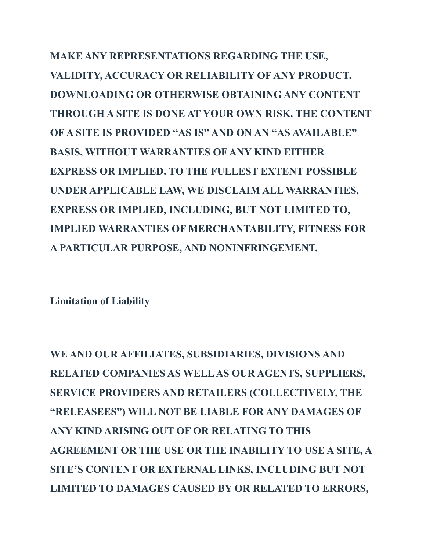**MAKE ANY REPRESENTATIONS REGARDING THE USE, VALIDITY, ACCURACY OR RELIABILITY OF ANY PRODUCT. DOWNLOADING OR OTHERWISE OBTAINING ANY CONTENT THROUGH A SITE IS DONE AT YOUR OWN RISK. THE CONTENT OF A SITE IS PROVIDED "AS IS" AND ON AN "AS AVAILABLE" BASIS, WITHOUT WARRANTIES OF ANY KIND EITHER EXPRESS OR IMPLIED. TO THE FULLEST EXTENT POSSIBLE UNDER APPLICABLE LAW, WE DISCLAIM ALL WARRANTIES, EXPRESS OR IMPLIED, INCLUDING, BUT NOT LIMITED TO, IMPLIED WARRANTIES OF MERCHANTABILITY, FITNESS FOR A PARTICULAR PURPOSE, AND NONINFRINGEMENT.**

**Limitation of Liability**

**WE AND OUR AFFILIATES, SUBSIDIARIES, DIVISIONS AND RELATED COMPANIES AS WELLAS OUR AGENTS, SUPPLIERS, SERVICE PROVIDERS AND RETAILERS (COLLECTIVELY, THE "RELEASEES") WILL NOT BE LIABLE FOR ANY DAMAGES OF ANY KIND ARISING OUT OF OR RELATING TO THIS AGREEMENT OR THE USE OR THE INABILITY TO USE A SITE, A SITE'S CONTENT OR EXTERNAL LINKS, INCLUDING BUT NOT LIMITED TO DAMAGES CAUSED BY OR RELATED TO ERRORS,**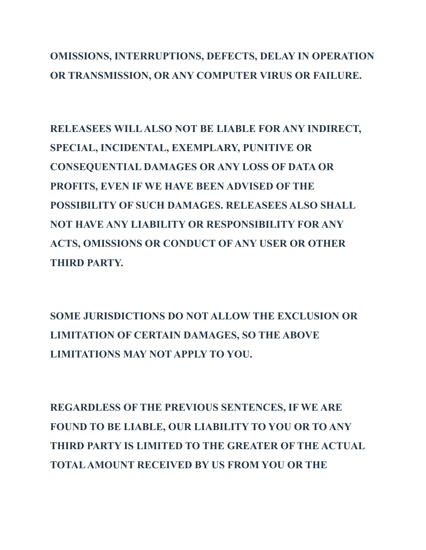### **OMISSIONS, INTERRUPTIONS, DEFECTS, DELAY IN OPERATION OR TRANSMISSION, OR ANY COMPUTER VIRUS OR FAILURE.**

**RELEASEES WILLALSO NOT BE LIABLE FOR ANY INDIRECT, SPECIAL, INCIDENTAL, EXEMPLARY, PUNITIVE OR CONSEQUENTIAL DAMAGES OR ANY LOSS OF DATA OR PROFITS, EVEN IF WE HAVE BEEN ADVISED OF THE POSSIBILITY OF SUCH DAMAGES. RELEASEES ALSO SHALL NOT HAVE ANY LIABILITY OR RESPONSIBILITY FOR ANY ACTS, OMISSIONS OR CONDUCT OF ANY USER OR OTHER THIRD PARTY.**

**SOME JURISDICTIONS DO NOT ALLOW THE EXCLUSION OR LIMITATION OF CERTAIN DAMAGES, SO THE ABOVE LIMITATIONS MAY NOT APPLY TO YOU.**

**REGARDLESS OF THE PREVIOUS SENTENCES, IF WE ARE FOUND TO BE LIABLE, OUR LIABILITY TO YOU OR TO ANY THIRD PARTY IS LIMITED TO THE GREATER OF THE ACTUAL TOTALAMOUNT RECEIVED BY US FROM YOU OR THE**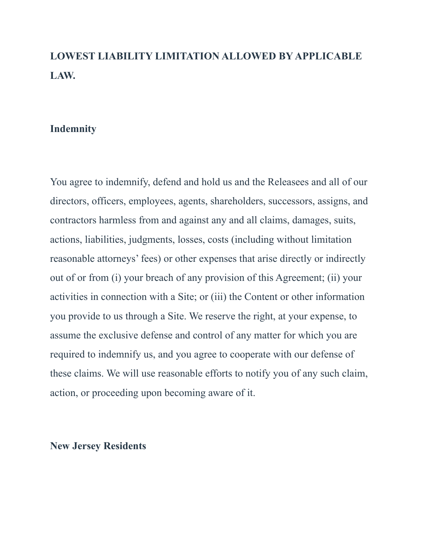### **LOWEST LIABILITY LIMITATION ALLOWED BY APPLICABLE LAW.**

#### **Indemnity**

You agree to indemnify, defend and hold us and the Releasees and all of our directors, officers, employees, agents, shareholders, successors, assigns, and contractors harmless from and against any and all claims, damages, suits, actions, liabilities, judgments, losses, costs (including without limitation reasonable attorneys' fees) or other expenses that arise directly or indirectly out of or from (i) your breach of any provision of this Agreement; (ii) your activities in connection with a Site; or (iii) the Content or other information you provide to us through a Site. We reserve the right, at your expense, to assume the exclusive defense and control of any matter for which you are required to indemnify us, and you agree to cooperate with our defense of these claims. We will use reasonable efforts to notify you of any such claim, action, or proceeding upon becoming aware of it.

#### **New Jersey Residents**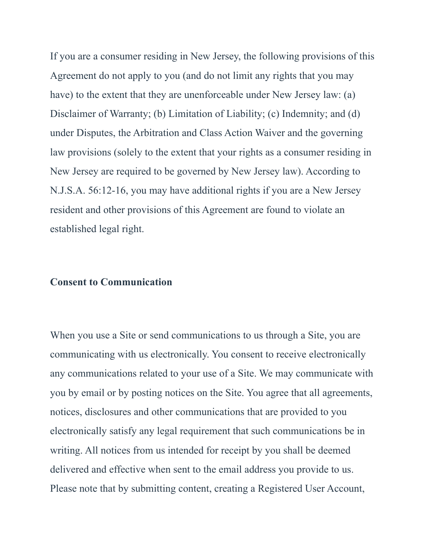If you are a consumer residing in New Jersey, the following provisions of this Agreement do not apply to you (and do not limit any rights that you may have) to the extent that they are unenforceable under New Jersey law: (a) Disclaimer of Warranty; (b) Limitation of Liability; (c) Indemnity; and (d) under Disputes, the Arbitration and Class Action Waiver and the governing law provisions (solely to the extent that your rights as a consumer residing in New Jersey are required to be governed by New Jersey law). According to N.J.S.A. 56:12-16, you may have additional rights if you are a New Jersey resident and other provisions of this Agreement are found to violate an established legal right.

#### **Consent to Communication**

When you use a Site or send communications to us through a Site, you are communicating with us electronically. You consent to receive electronically any communications related to your use of a Site. We may communicate with you by email or by posting notices on the Site. You agree that all agreements, notices, disclosures and other communications that are provided to you electronically satisfy any legal requirement that such communications be in writing. All notices from us intended for receipt by you shall be deemed delivered and effective when sent to the email address you provide to us. Please note that by submitting content, creating a Registered User Account,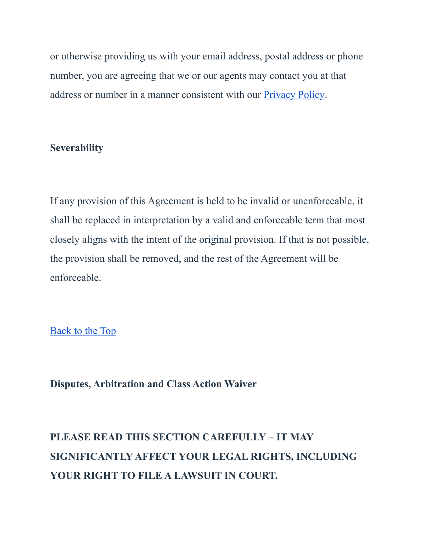or otherwise providing us with your email address, postal address or phone number, you are agreeing that we or our agents may contact you at that address or number in a manner consistent with our [Privacy Policy.](https://iowahearing.alpacaaudiology.com/privacy)

#### **Severability**

If any provision of this Agreement is held to be invalid or unenforceable, it shall be replaced in interpretation by a valid and enforceable term that most closely aligns with the intent of the original provision. If that is not possible, the provision shall be removed, and the rest of the Agreement will be enforceable.

[Back to the Top](https://iowahearing.alpacaaudiology.com/american-hearing-centers-terms-and-conditions/#top)

**Disputes, Arbitration and Class Action Waiver**

### **PLEASE READ THIS SECTION CAREFULLY – IT MAY SIGNIFICANTLY AFFECT YOUR LEGAL RIGHTS, INCLUDING YOUR RIGHT TO FILE A LAWSUIT IN COURT.**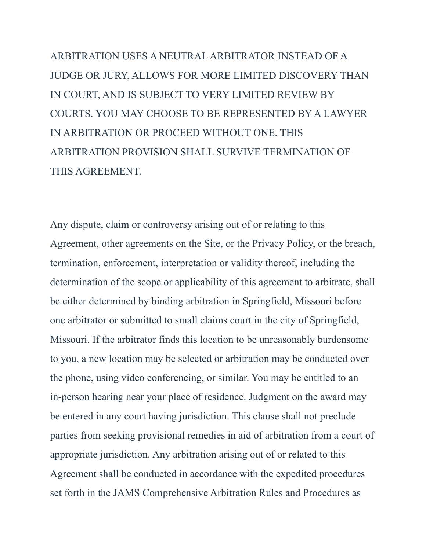ARBITRATION USES A NEUTRAL ARBITRATOR INSTEAD OF A JUDGE OR JURY, ALLOWS FOR MORE LIMITED DISCOVERY THAN IN COURT, AND IS SUBJECT TO VERY LIMITED REVIEW BY COURTS. YOU MAY CHOOSE TO BE REPRESENTED BY A LAWYER IN ARBITRATION OR PROCEED WITHOUT ONE. THIS ARBITRATION PROVISION SHALL SURVIVE TERMINATION OF THIS AGREEMENT.

Any dispute, claim or controversy arising out of or relating to this Agreement, other agreements on the Site, or the Privacy Policy, or the breach, termination, enforcement, interpretation or validity thereof, including the determination of the scope or applicability of this agreement to arbitrate, shall be either determined by binding arbitration in Springfield, Missouri before one arbitrator or submitted to small claims court in the city of Springfield, Missouri. If the arbitrator finds this location to be unreasonably burdensome to you, a new location may be selected or arbitration may be conducted over the phone, using video conferencing, or similar. You may be entitled to an in-person hearing near your place of residence. Judgment on the award may be entered in any court having jurisdiction. This clause shall not preclude parties from seeking provisional remedies in aid of arbitration from a court of appropriate jurisdiction. Any arbitration arising out of or related to this Agreement shall be conducted in accordance with the expedited procedures set forth in the JAMS Comprehensive Arbitration Rules and Procedures as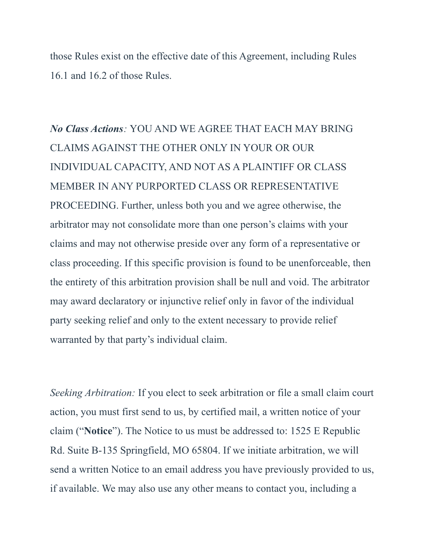those Rules exist on the effective date of this Agreement, including Rules 16.1 and 16.2 of those Rules.

*No Class Actions:* YOU AND WE AGREE THAT EACH MAY BRING CLAIMS AGAINST THE OTHER ONLY IN YOUR OR OUR INDIVIDUAL CAPACITY, AND NOT AS A PLAINTIFF OR CLASS MEMBER IN ANY PURPORTED CLASS OR REPRESENTATIVE PROCEEDING. Further, unless both you and we agree otherwise, the arbitrator may not consolidate more than one person's claims with your claims and may not otherwise preside over any form of a representative or class proceeding. If this specific provision is found to be unenforceable, then the entirety of this arbitration provision shall be null and void. The arbitrator may award declaratory or injunctive relief only in favor of the individual party seeking relief and only to the extent necessary to provide relief warranted by that party's individual claim.

*Seeking Arbitration:* If you elect to seek arbitration or file a small claim court action, you must first send to us, by certified mail, a written notice of your claim ("**Notice**"). The Notice to us must be addressed to: 1525 E Republic Rd. Suite B-135 Springfield, MO 65804. If we initiate arbitration, we will send a written Notice to an email address you have previously provided to us, if available. We may also use any other means to contact you, including a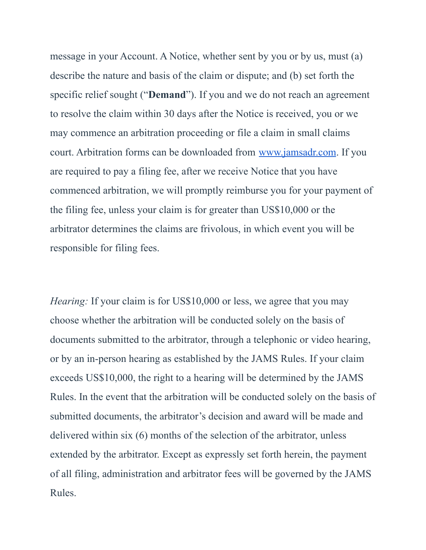message in your Account. A Notice, whether sent by you or by us, must (a) describe the nature and basis of the claim or dispute; and (b) set forth the specific relief sought ("**Demand**"). If you and we do not reach an agreement to resolve the claim within 30 days after the Notice is received, you or we may commence an arbitration proceeding or file a claim in small claims court. Arbitration forms can be downloaded from [www.jamsadr.com](https://www.jamsadr.com/). If you are required to pay a filing fee, after we receive Notice that you have commenced arbitration, we will promptly reimburse you for your payment of the filing fee, unless your claim is for greater than US\$10,000 or the arbitrator determines the claims are frivolous, in which event you will be responsible for filing fees.

*Hearing:* If your claim is for US\$10,000 or less, we agree that you may choose whether the arbitration will be conducted solely on the basis of documents submitted to the arbitrator, through a telephonic or video hearing, or by an in-person hearing as established by the JAMS Rules. If your claim exceeds US\$10,000, the right to a hearing will be determined by the JAMS Rules. In the event that the arbitration will be conducted solely on the basis of submitted documents, the arbitrator's decision and award will be made and delivered within six (6) months of the selection of the arbitrator, unless extended by the arbitrator. Except as expressly set forth herein, the payment of all filing, administration and arbitrator fees will be governed by the JAMS Rules.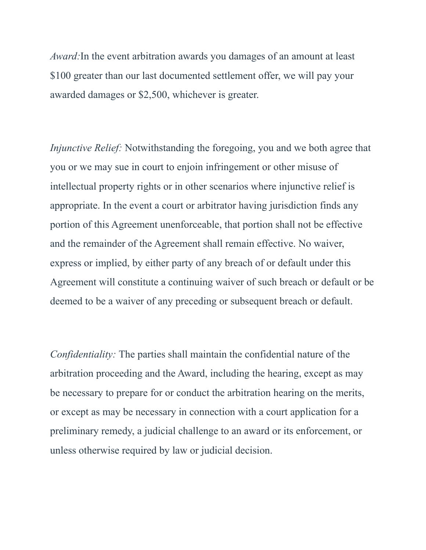*Award:*In the event arbitration awards you damages of an amount at least \$100 greater than our last documented settlement offer, we will pay your awarded damages or \$2,500, whichever is greater.

*Injunctive Relief:* Notwithstanding the foregoing, you and we both agree that you or we may sue in court to enjoin infringement or other misuse of intellectual property rights or in other scenarios where injunctive relief is appropriate. In the event a court or arbitrator having jurisdiction finds any portion of this Agreement unenforceable, that portion shall not be effective and the remainder of the Agreement shall remain effective. No waiver, express or implied, by either party of any breach of or default under this Agreement will constitute a continuing waiver of such breach or default or be deemed to be a waiver of any preceding or subsequent breach or default.

*Confidentiality:* The parties shall maintain the confidential nature of the arbitration proceeding and the Award, including the hearing, except as may be necessary to prepare for or conduct the arbitration hearing on the merits, or except as may be necessary in connection with a court application for a preliminary remedy, a judicial challenge to an award or its enforcement, or unless otherwise required by law or judicial decision.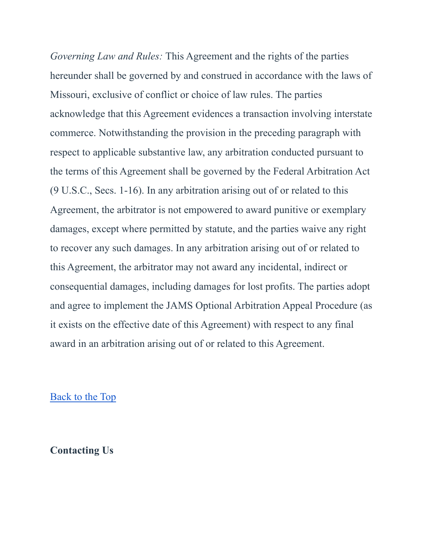*Governing Law and Rules:* This Agreement and the rights of the parties hereunder shall be governed by and construed in accordance with the laws of Missouri, exclusive of conflict or choice of law rules. The parties acknowledge that this Agreement evidences a transaction involving interstate commerce. Notwithstanding the provision in the preceding paragraph with respect to applicable substantive law, any arbitration conducted pursuant to the terms of this Agreement shall be governed by the Federal Arbitration Act (9 U.S.C., Secs. 1-16). In any arbitration arising out of or related to this Agreement, the arbitrator is not empowered to award punitive or exemplary damages, except where permitted by statute, and the parties waive any right to recover any such damages. In any arbitration arising out of or related to this Agreement, the arbitrator may not award any incidental, indirect or consequential damages, including damages for lost profits. The parties adopt and agree to implement the JAMS Optional Arbitration Appeal Procedure (as it exists on the effective date of this Agreement) with respect to any final award in an arbitration arising out of or related to this Agreement.

#### [Back to the Top](https://iowahearing.alpacaaudiology.com/american-hearing-centers-terms-and-conditions/#top)

#### **Contacting Us**